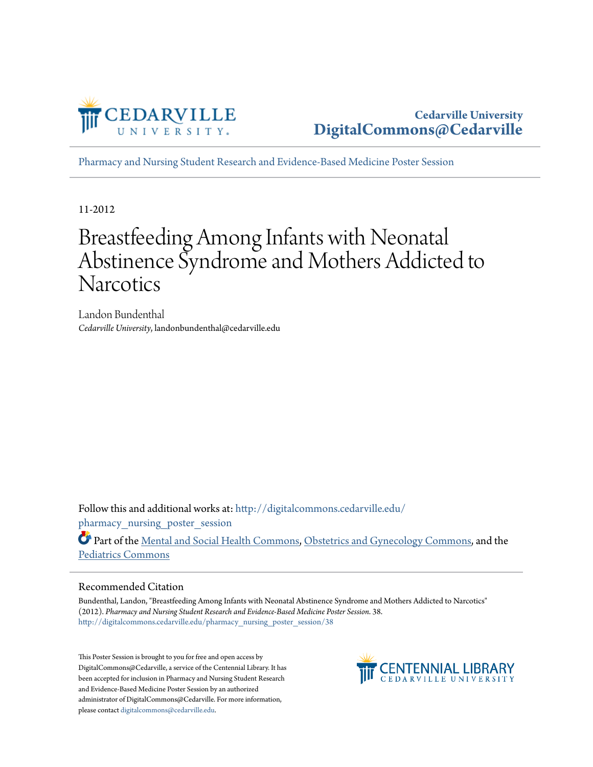

[Pharmacy and Nursing Student Research and Evidence-Based Medicine Poster Session](http://digitalcommons.cedarville.edu/pharmacy_nursing_poster_session?utm_source=digitalcommons.cedarville.edu%2Fpharmacy_nursing_poster_session%2F38&utm_medium=PDF&utm_campaign=PDFCoverPages)

11-2012

#### Breastfeeding Among Infants with Neonatal Abstinence Syndrome and Mothers Addicted to **Narcotics**

Landon Bundenthal *Cedarville University*, landonbundenthal@cedarville.edu

Follow this and additional works at: [http://digitalcommons.cedarville.edu/](http://digitalcommons.cedarville.edu/pharmacy_nursing_poster_session?utm_source=digitalcommons.cedarville.edu%2Fpharmacy_nursing_poster_session%2F38&utm_medium=PDF&utm_campaign=PDFCoverPages) pharmacy nursing poster session

Part of the [Mental and Social Health Commons](http://network.bepress.com/hgg/discipline/709?utm_source=digitalcommons.cedarville.edu%2Fpharmacy_nursing_poster_session%2F38&utm_medium=PDF&utm_campaign=PDFCoverPages), [Obstetrics and Gynecology Commons,](http://network.bepress.com/hgg/discipline/693?utm_source=digitalcommons.cedarville.edu%2Fpharmacy_nursing_poster_session%2F38&utm_medium=PDF&utm_campaign=PDFCoverPages) and the [Pediatrics Commons](http://network.bepress.com/hgg/discipline/700?utm_source=digitalcommons.cedarville.edu%2Fpharmacy_nursing_poster_session%2F38&utm_medium=PDF&utm_campaign=PDFCoverPages)

#### Recommended Citation

Bundenthal, Landon, "Breastfeeding Among Infants with Neonatal Abstinence Syndrome and Mothers Addicted to Narcotics" (2012). *Pharmacy and Nursing Student Research and Evidence-Based Medicine Poster Session*. 38. [http://digitalcommons.cedarville.edu/pharmacy\\_nursing\\_poster\\_session/38](http://digitalcommons.cedarville.edu/pharmacy_nursing_poster_session/38?utm_source=digitalcommons.cedarville.edu%2Fpharmacy_nursing_poster_session%2F38&utm_medium=PDF&utm_campaign=PDFCoverPages)

This Poster Session is brought to you for free and open access by DigitalCommons@Cedarville, a service of the Centennial Library. It has been accepted for inclusion in Pharmacy and Nursing Student Research and Evidence-Based Medicine Poster Session by an authorized administrator of DigitalCommons@Cedarville. For more information, please contact [digitalcommons@cedarville.edu.](mailto:digitalcommons@cedarville.edu)